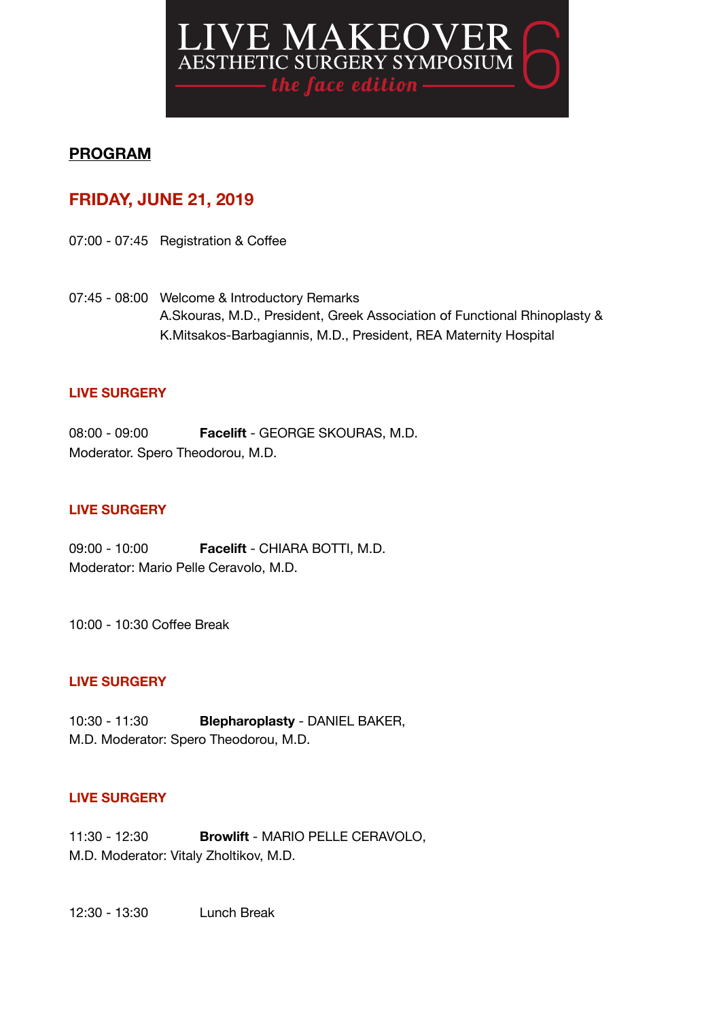

# **PROGRAM**

# **FRIDAY, JUNE 21, 2019**

07:00 - 07:45 Registration & Coffee

07:45 - 08:00 Welcome & Introductory Remarks A.Skouras, M.D., President, Greek Association of Functional Rhinoplasty & K.Mitsakos-Barbagiannis, M.D., President, REA Maternity Hospital

## **LIVE SURGERY**

08:00 - 09:00 **Facelift** - GEORGE SKOURAS, M.D. Moderator. Spero Theodorou, M.D.

#### **LIVE SURGERY**

09:00 - 10:00 **Facelift** - CHIARA BOTTI, M.D. Moderator: Mario Pelle Ceravolo, M.D.

10:00 - 10:30 Coffee Break

## **LIVE SURGERY**

10:30 - 11:30 **Blepharoplasty** - DANIEL BAKER, M.D. Moderator: Spero Theodorou, M.D.

## **LIVE SURGERY**

11:30 - 12:30 **Browlift** - MARIO PELLE CERAVOLO, M.D. Moderator: Vitaly Zholtikov, M.D.

12:30 - 13:30 Lunch Break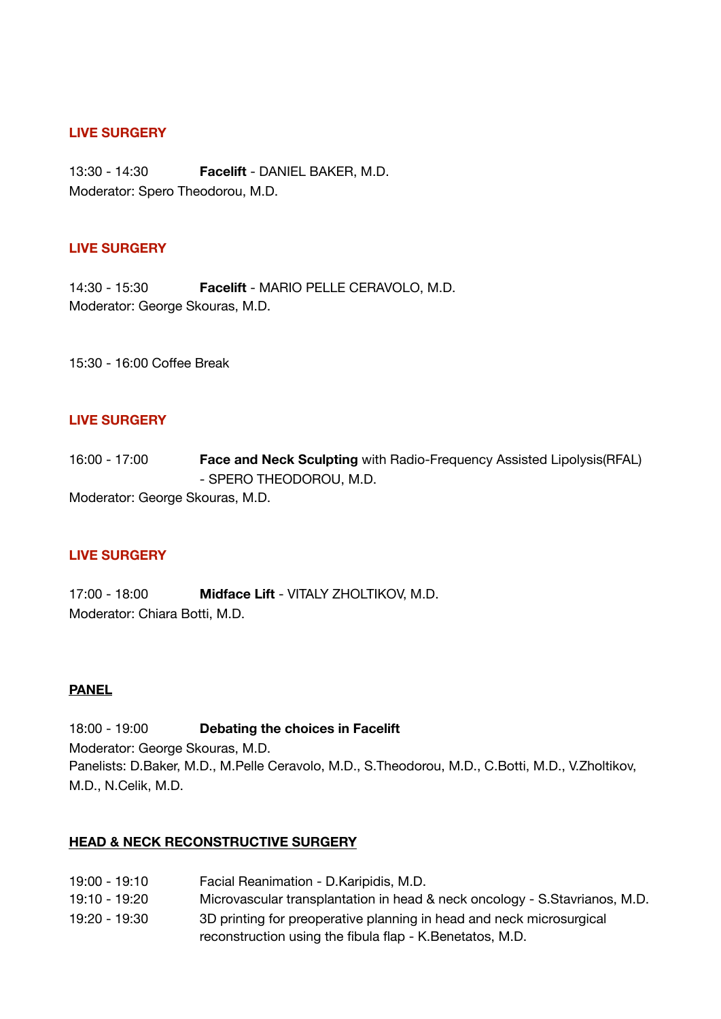## **LIVE SURGERY**

13:30 - 14:30 **Facelift** - DANIEL BAKER, M.D. Moderator: Spero Theodorou, M.D.

## **LIVE SURGERY**

14:30 - 15:30 **Facelift** - MARIO PELLE CERAVOLO, M.D. Moderator: George Skouras, M.D.

15:30 - 16:00 Coffee Break

## **LIVE SURGERY**

16:00 - 17:00 **Face and Neck Sculpting** with Radio-Frequency Assisted Lipolysis(RFAL) - SPERO THEODOROU, M.D.

Moderator: George Skouras, M.D.

## **LIVE SURGERY**

17:00 - 18:00 **Midface Lift** - VITALY ZHOLTIKOV, M.D. Moderator: Chiara Botti, M.D.

## **PANEL**

18:00 - 19:00 **Debating the choices in Facelift**  Moderator: George Skouras, M.D. Panelists: D.Baker, M.D., M.Pelle Ceravolo, M.D., S.Theodorou, M.D., C.Botti, M.D., V.Zholtikov, M.D., N.Celik, M.D.

 reconstruction using the fibula flap - K.Benetatos, M.D.

## **HEAD & NECK RECONSTRUCTIVE SURGERY**

19:00 - 19:10 Facial Reanimation - D.Karipidis, M.D. 19:10 - 19:20 Microvascular transplantation in head & neck oncology - S.Stavrianos, M.D. 19:20 - 19:30 3D printing for preoperative planning in head and neck microsurgical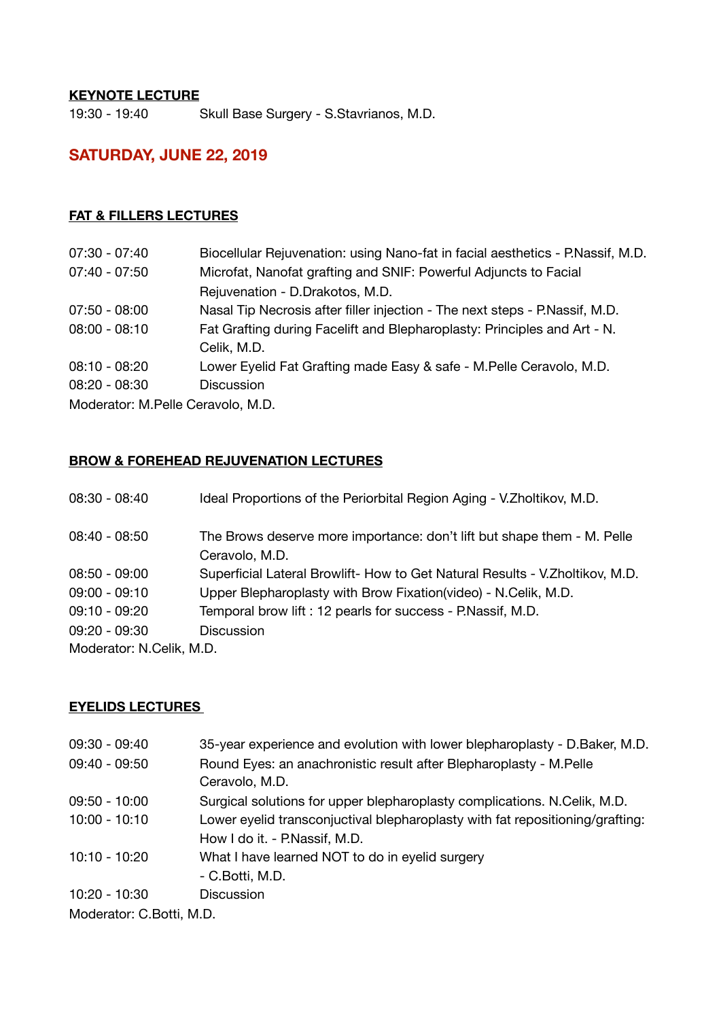## **KEYNOTE LECTURE**

19:30 - 19:40 Skull Base Surgery - S.Stavrianos, M.D.

# **SATURDAY, JUNE 22, 2019**

## **FAT & FILLERS LECTURES**

| $07:30 - 07:40$                   | Biocellular Rejuvenation: using Nano-fat in facial aesthetics - P.Nassif, M.D.          |
|-----------------------------------|-----------------------------------------------------------------------------------------|
| $07:40 - 07:50$                   | Microfat, Nanofat grafting and SNIF: Powerful Adjuncts to Facial                        |
|                                   | Rejuvenation - D.Drakotos, M.D.                                                         |
| $07:50 - 08:00$                   | Nasal Tip Necrosis after filler injection - The next steps - P. Nassif, M.D.            |
| $08:00 - 08:10$                   | Fat Grafting during Facelift and Blepharoplasty: Principles and Art - N.<br>Celik, M.D. |
| $08:10 - 08:20$                   | Lower Eyelid Fat Grafting made Easy & safe - M. Pelle Ceravolo, M.D.                    |
| $08:20 - 08:30$                   | <b>Discussion</b>                                                                       |
| Moderator: M Pelle Ceravolo, M.D. |                                                                                         |

Moderator: M.Pelle Ceravolo, M.D.

## **BROW & FOREHEAD REJUVENATION LECTURES**

| $08:30 - 08:40$          | Ideal Proportions of the Periorbital Region Aging - V. Zholtikov, M.D.        |
|--------------------------|-------------------------------------------------------------------------------|
| $08:40 - 08:50$          | The Brows deserve more importance: don't lift but shape them - M. Pelle       |
|                          | Ceravolo, M.D.                                                                |
| $08:50 - 09:00$          | Superficial Lateral Browlift- How to Get Natural Results - V. Zholtikov, M.D. |
| $09:00 - 09:10$          | Upper Blepharoplasty with Brow Fixation(video) - N.Celik, M.D.                |
| $09:10 - 09:20$          | Temporal brow lift : 12 pearls for success - P.Nassif, M.D.                   |
| $09:20 - 09:30$          | <b>Discussion</b>                                                             |
| Moderator: N.Celik, M.D. |                                                                               |

## **EYELIDS LECTURES**

| $09:30 - 09:40$                      | 35-year experience and evolution with lower blepharoplasty - D. Baker, M.D.   |
|--------------------------------------|-------------------------------------------------------------------------------|
| $09:40 - 09:50$                      | Round Eyes: an anachronistic result after Blepharoplasty - M.Pelle            |
|                                      | Ceravolo, M.D.                                                                |
| $09:50 - 10:00$                      | Surgical solutions for upper blepharoplasty complications. N.Celik, M.D.      |
| $10:00 - 10:10$                      | Lower eyelid transconjuctival blepharoplasty with fat repositioning/grafting: |
|                                      | How I do it. - P.Nassif, M.D.                                                 |
| 10:10 - 10:20                        | What I have learned NOT to do in eyelid surgery                               |
|                                      | - C.Botti, M.D.                                                               |
| 10:20 - 10:30                        | <b>Discussion</b>                                                             |
| $M$ oderator: $\cap$ Rotti, $M \cap$ |                                                                               |

Moderator: C.Botti, M.D.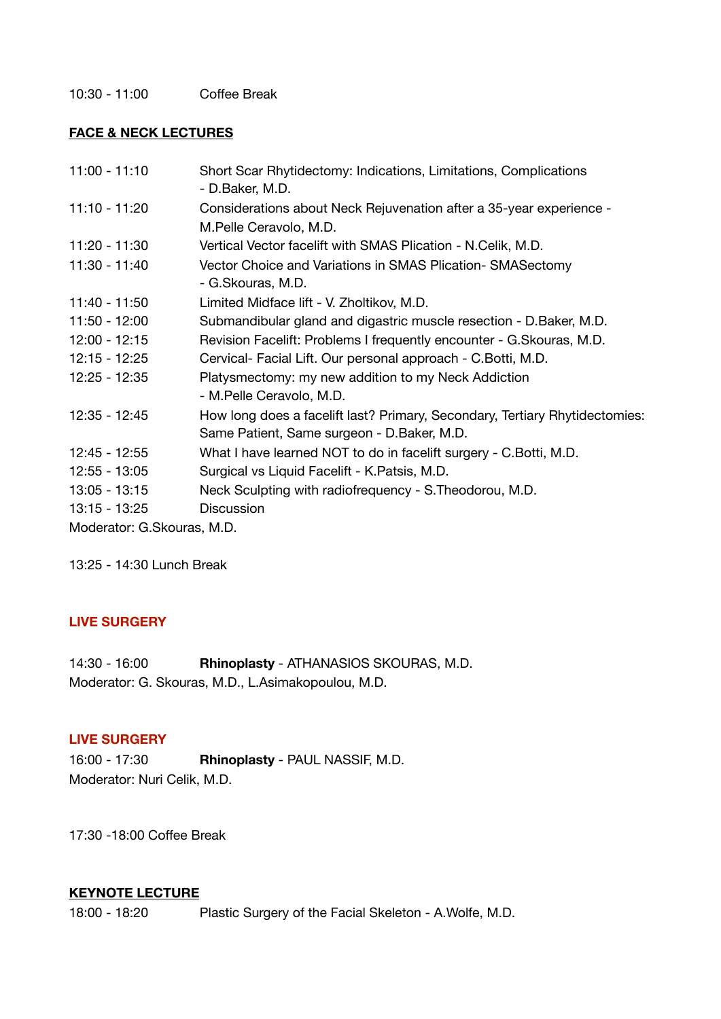10:30 - 11:00 Coffee Break

## **FACE & NECK LECTURES**

| $11:00 - 11:10$            | Short Scar Rhytidectomy: Indications, Limitations, Complications<br>- D.Baker, M.D. |
|----------------------------|-------------------------------------------------------------------------------------|
| $11:10 - 11:20$            | Considerations about Neck Rejuvenation after a 35-year experience -                 |
|                            | M.Pelle Ceravolo, M.D.                                                              |
| 11:20 - 11:30              | Vertical Vector facelift with SMAS Plication - N.Celik, M.D.                        |
| 11:30 - 11:40              | Vector Choice and Variations in SMAS Plication- SMASectomy                          |
|                            | - G.Skouras, M.D.                                                                   |
| 11:40 - 11:50              | Limited Midface lift - V. Zholtikov, M.D.                                           |
| 11:50 - 12:00              | Submandibular gland and digastric muscle resection - D. Baker, M.D.                 |
| $12:00 - 12:15$            | Revision Facelift: Problems I frequently encounter - G. Skouras, M.D.               |
| 12:15 - 12:25              | Cervical- Facial Lift. Our personal approach - C. Botti, M.D.                       |
| 12:25 - 12:35              | Platysmectomy: my new addition to my Neck Addiction                                 |
|                            | - M.Pelle Ceravolo, M.D.                                                            |
| 12:35 - 12:45              | How long does a facelift last? Primary, Secondary, Tertiary Rhytidectomies:         |
|                            | Same Patient, Same surgeon - D.Baker, M.D.                                          |
| 12:45 - 12:55              | What I have learned NOT to do in facelift surgery - C. Botti, M.D.                  |
| $12:55 - 13:05$            | Surgical vs Liquid Facelift - K. Patsis, M.D.                                       |
| $13:05 - 13:15$            | Neck Sculpting with radiofrequency - S. Theodorou, M.D.                             |
| $13:15 - 13:25$            | <b>Discussion</b>                                                                   |
| Moderator: G.Skouras, M.D. |                                                                                     |

13:25 - 14:30 Lunch Break

## **LIVE SURGERY**

14:30 - 16:00 **Rhinoplasty** - ATHANASIOS SKOURAS, M.D. Moderator: G. Skouras, M.D., L.Asimakopoulou, M.D.

## **LIVE SURGERY**

16:00 - 17:30 **Rhinoplasty** - PAUL NASSIF, M.D. Moderator: Nuri Celik, M.D.

17:30 -18:00 Coffee Break

## **KEYNOTE LECTURE**

18:00 - 18:20 Plastic Surgery of the Facial Skeleton - A.Wolfe, M.D.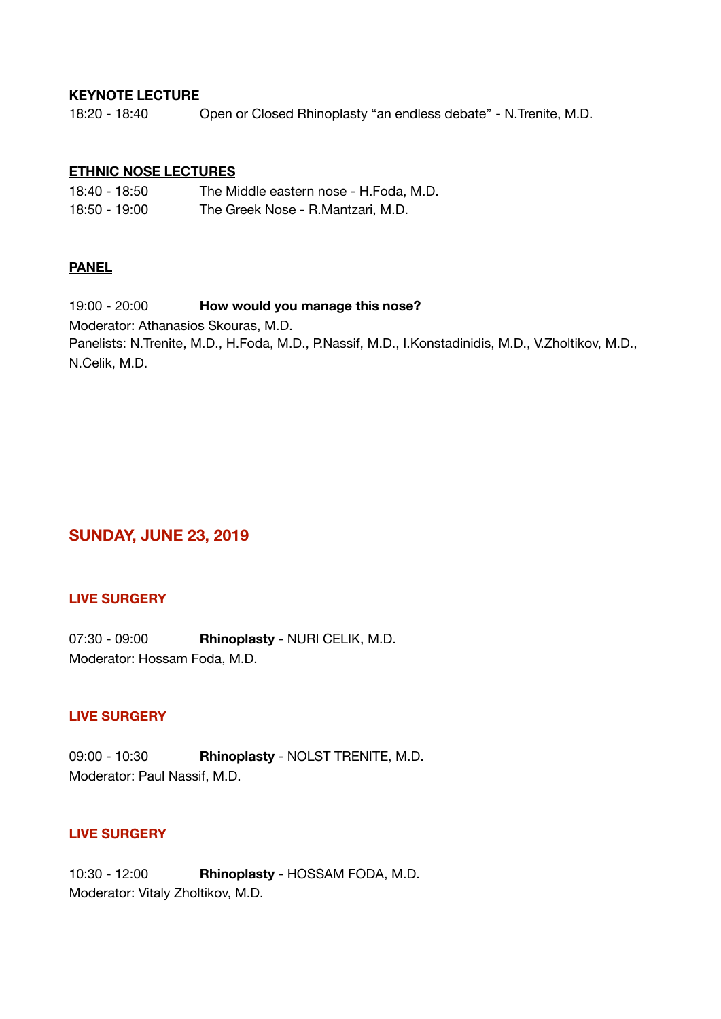#### **KEYNOTE LECTURE**

18:20 - 18:40 Open or Closed Rhinoplasty "an endless debate" - N. Trenite, M.D.

#### **ETHNIC NOSE LECTURES**

| 18:40 - 18:50 | The Middle eastern nose - H.Foda, M.D. |
|---------------|----------------------------------------|
| 18:50 - 19:00 | The Greek Nose - R.Mantzari, M.D.      |

#### **PANEL**

19:00 - 20:00 **How would you manage this nose?**  Moderator: Athanasios Skouras, M.D. Panelists: N.Trenite, M.D., H.Foda, M.D., P.Nassif, M.D., I.Konstadinidis, M.D., V.Zholtikov, M.D., N.Celik, M.D.

# **SUNDAY, JUNE 23, 2019**

## **LIVE SURGERY**

07:30 - 09:00 **Rhinoplasty** - NURI CELIK, M.D. Moderator: Hossam Foda, M.D.

## **LIVE SURGERY**

09:00 - 10:30 **Rhinoplasty** - NOLST TRENITE, M.D. Moderator: Paul Nassif, M.D.

## **LIVE SURGERY**

10:30 - 12:00 **Rhinoplasty** - HOSSAM FODA, M.D. Moderator: Vitaly Zholtikov, M.D.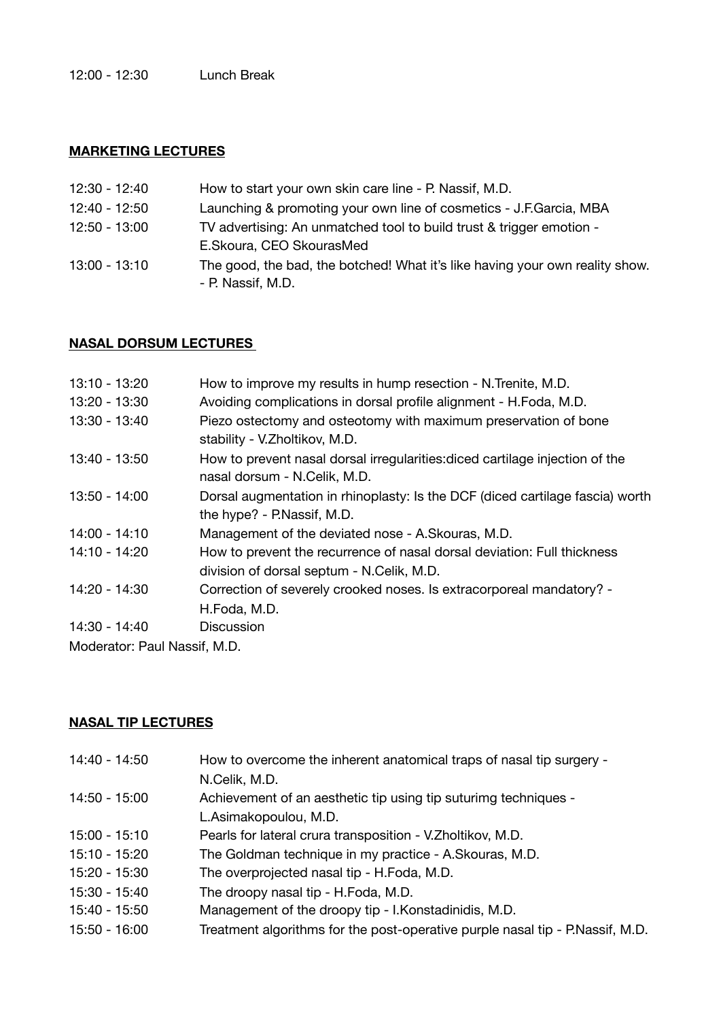## **MARKETING LECTURES**

| 12:30 - 12:40   | How to start your own skin care line - P. Nassif, M.D.                                            |
|-----------------|---------------------------------------------------------------------------------------------------|
| 12:40 - 12:50   | Launching & promoting your own line of cosmetics - J.F.Garcia, MBA                                |
| 12:50 - 13:00   | TV advertising: An unmatched tool to build trust & trigger emotion -<br>E.Skoura, CEO SkourasMed  |
| $13:00 - 13:10$ | The good, the bad, the botched! What it's like having your own reality show.<br>- P. Nassif, M.D. |

## **NASAL DORSUM LECTURES**

| 13:10 - 13:20               | How to improve my results in hump resection - N. Trenite, M.D.                                                       |
|-----------------------------|----------------------------------------------------------------------------------------------------------------------|
| 13:20 - 13:30               | Avoiding complications in dorsal profile alignment - H.Foda, M.D.                                                    |
| 13:30 - 13:40               | Piezo ostectomy and osteotomy with maximum preservation of bone<br>stability - V.Zholtikov, M.D.                     |
| 13:40 - 13:50               | How to prevent nasal dorsal irregularities: diced cartilage injection of the<br>nasal dorsum - N.Celik, M.D.         |
| 13:50 - 14:00               | Dorsal augmentation in rhinoplasty: Is the DCF (diced cartilage fascia) worth<br>the hype? - P.Nassif, M.D.          |
| 14:00 - 14:10               | Management of the deviated nose - A. Skouras, M.D.                                                                   |
| 14:10 - 14:20               | How to prevent the recurrence of nasal dorsal deviation: Full thickness<br>division of dorsal septum - N.Celik, M.D. |
| 14:20 - 14:30               | Correction of severely crooked noses. Is extracorporeal mandatory? -<br>H.Foda, M.D.                                 |
| 14:30 - 14:40               | <b>Discussion</b>                                                                                                    |
| Moderator: Daul Naccif M.D. |                                                                                                                      |

Moderator: Paul Nassif, M.D.

# **NASAL TIP LECTURES**

| 14:40 - 14:50 | How to overcome the inherent anatomical traps of nasal tip surgery -          |
|---------------|-------------------------------------------------------------------------------|
|               | N.Celik, M.D.                                                                 |
| 14:50 - 15:00 | Achievement of an aesthetic tip using tip suturimg techniques -               |
|               | L.Asimakopoulou, M.D.                                                         |
| 15:00 - 15:10 | Pearls for lateral crura transposition - V. Zholtikov, M.D.                   |
| 15:10 - 15:20 | The Goldman technique in my practice - A.Skouras, M.D.                        |
| 15:20 - 15:30 | The overprojected nasal tip - H.Foda, M.D.                                    |
| 15:30 - 15:40 | The droopy nasal tip - H.Foda, M.D.                                           |
| 15:40 - 15:50 | Management of the droopy tip - I. Konstadinidis, M.D.                         |
| 15:50 - 16:00 | Treatment algorithms for the post-operative purple nasal tip - P.Nassif, M.D. |